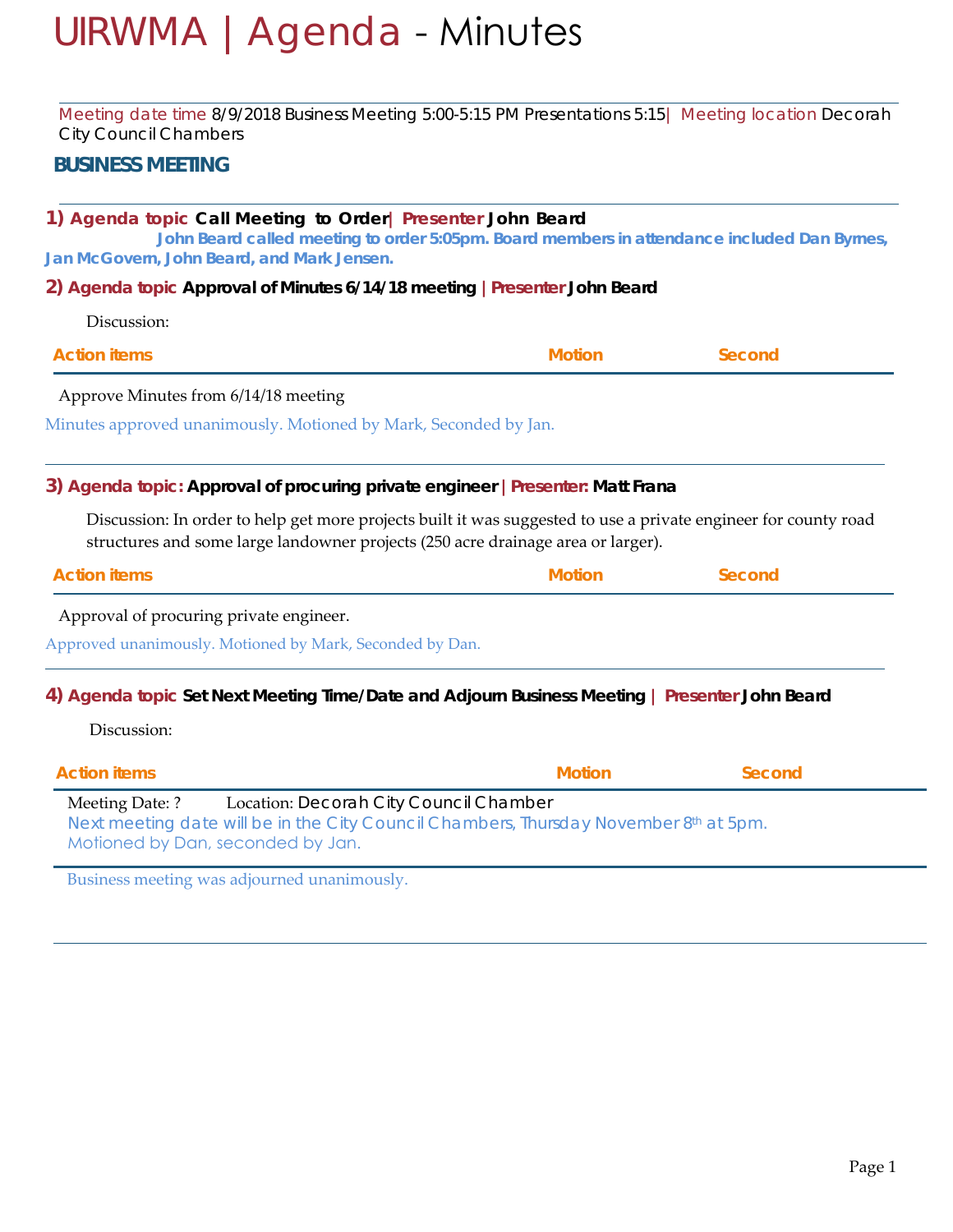# UIRWMA |Agenda - Minutes

Meeting date time 8/9*/2018 Business Meeting 5:00-5:15 PM Presentations 5:15*| Meeting location *Decorah City Council Chambers*

## **BUSINESS MEETING**

## **1) Agenda topic** *Call Meeting to Order***| Presenter John Beard**

**John Beard called meeting to order 5:05pm. Board members in attendance included Dan Byrnes, Jan McGovern, John Beard, and Mark Jensen.** 

**2) Agenda topic** *Approval of Minutes 6/14/18 meeting* **|Presenter John Beard**

| <b>Motion</b> | Second |                                                                  |
|---------------|--------|------------------------------------------------------------------|
|               |        |                                                                  |
|               |        |                                                                  |
|               |        | Minutes approved unanimously. Motioned by Mark, Seconded by Jan. |

## **3) Agenda topic:** *Approval of procuring private engineer* **|Presenter: Matt Frana**

Discussion: In order to help get more projects built it was suggested to use a private engineer for county road structures and some large landowner projects (250 acre drainage area or larger).

Approval of procuring private engineer.

Approved unanimously. Motioned by Mark, Seconded by Dan.

#### **4) Agenda topic** *Set Next Meeting Time/Date and Adjourn Business Meeting* **| Presenter John Beard**

Discussion:

| <b>Action items</b>                                  |                                                                                                                                 | <b>Motion</b> | Second |
|------------------------------------------------------|---------------------------------------------------------------------------------------------------------------------------------|---------------|--------|
| Meeting Date: ?<br>Motioned by Dan, seconded by Jan. | Location: Decorah City Council Chamber<br>Next meeting date will be in the City Council Chambers, Thursday November 8th at 5pm. |               |        |

Business meeting was adjourned unanimously.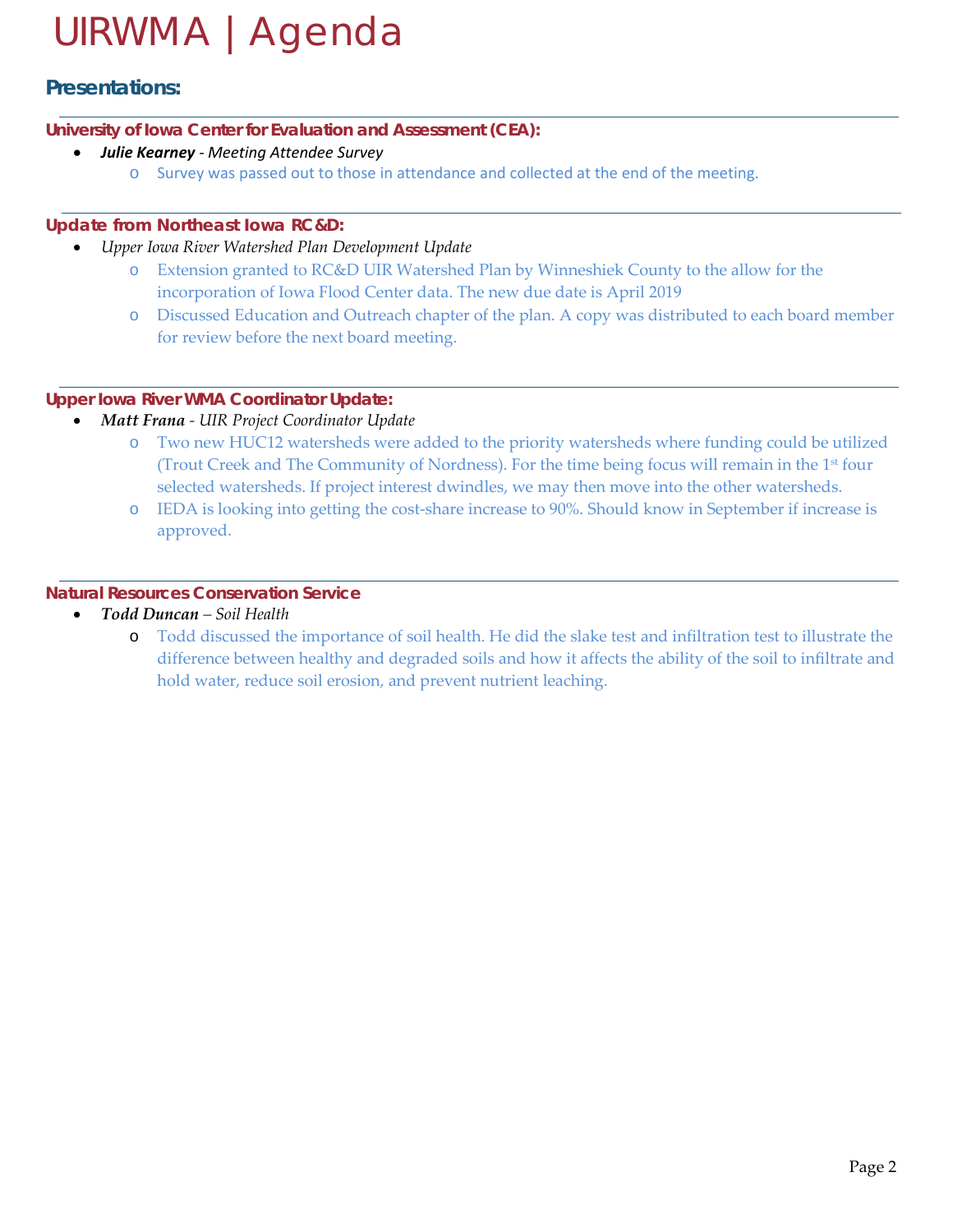# UIRWMA |Agenda

# **Presentations:**

#### **University of Iowa Center for Evaluation and Assessment (CEA):**

## • *Julie Kearney - Meeting Attendee Survey*

o Survey was passed out to those in attendance and collected at the end of the meeting.

## **Update from Northeast Iowa RC&D:**

- *Upper Iowa River Watershed Plan Development Update*
	- o Extension granted to RC&D UIR Watershed Plan by Winneshiek County to the allow for the incorporation of Iowa Flood Center data. The new due date is April 2019
	- o Discussed Education and Outreach chapter of the plan. A copy was distributed to each board member for review before the next board meeting.

## **Upper Iowa River WMA Coordinator Update:**

- *Matt Frana - UIR Project Coordinator Update*
	- o Two new HUC12 watersheds were added to the priority watersheds where funding could be utilized (Trout Creek and The Community of Nordness). For the time being focus will remain in the 1st four selected watersheds. If project interest dwindles, we may then move into the other watersheds.
	- o IEDA is looking into getting the cost-share increase to 90%. Should know in September if increase is approved.

## **Natural Resources Conservation Service**

- *Todd Duncan – Soil Health* 
	- o Todd discussed the importance of soil health. He did the slake test and infiltration test to illustrate the difference between healthy and degraded soils and how it affects the ability of the soil to infiltrate and hold water, reduce soil erosion, and prevent nutrient leaching.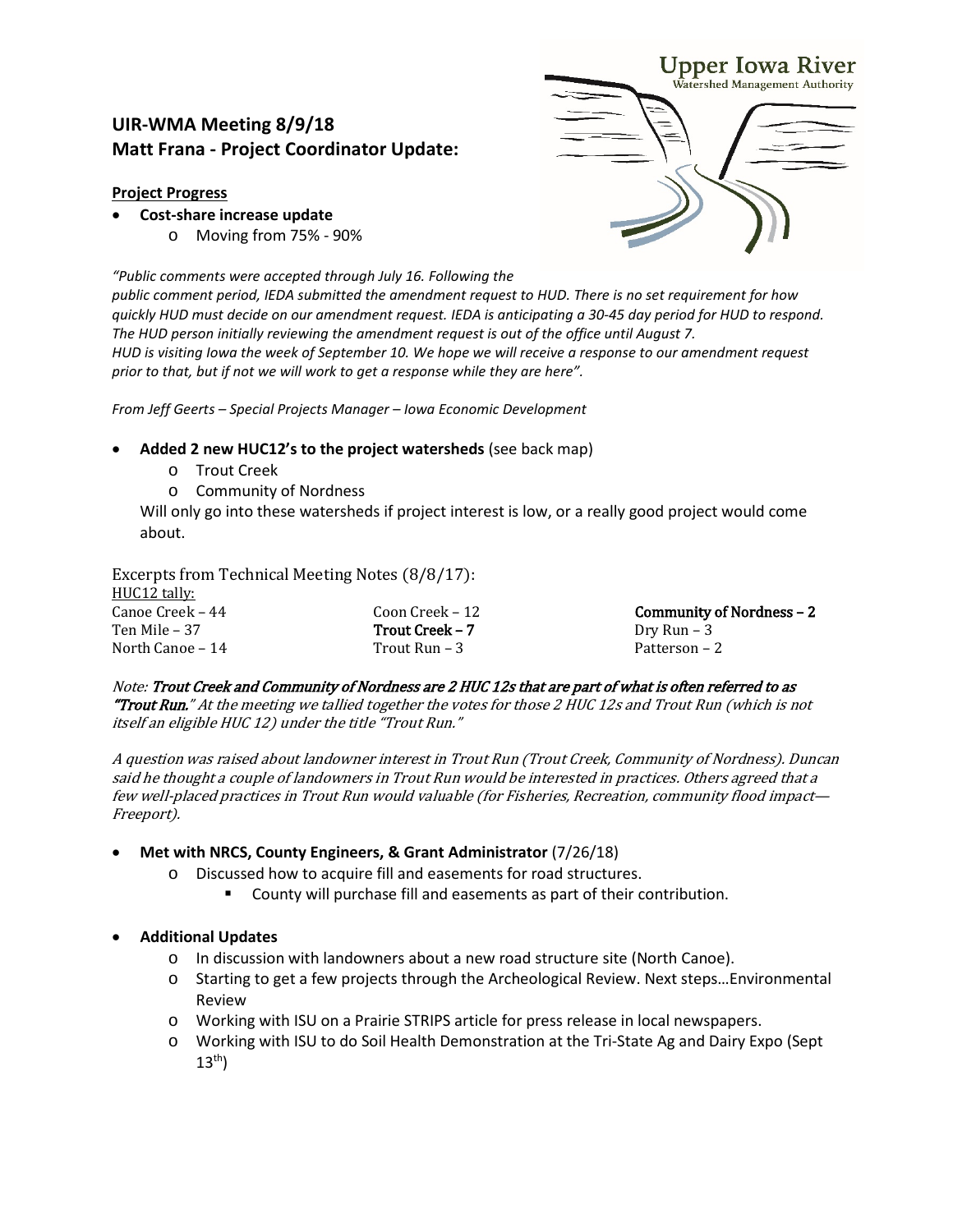# **UIR-WMA Meeting 8/9/18 Matt Frana - Project Coordinator Update:**

#### **Project Progress**

- **Cost-share increase update**
	- o Moving from 75% 90%

*"Public comments were accepted through July 16. Following the* 

*public comment period, IEDA submitted the amendment request to HUD. There is no set requirement for how quickly HUD must decide on our amendment request. IEDA is anticipating a 30-45 day period for HUD to respond. The HUD person initially reviewing the amendment request is out of the office until August 7. HUD is visiting Iowa the week of September 10. We hope we will receive a response to our amendment request prior to that, but if not we will work to get a response while they are here".*

*From Jeff Geerts – Special Projects Manager – Iowa Economic Development*

#### • **Added 2 new HUC12's to the project watersheds** (see back map)

- o Trout Creek
- o Community of Nordness

Will only go into these watersheds if project interest is low, or a really good project would come about.

Excerpts from Technical Meeting Notes (8/8/17):

| HUC12 tally:     |                 |                            |
|------------------|-----------------|----------------------------|
| Canoe Creek – 44 | Coon Creek – 12 | Community of Nordness $-2$ |
| Ten Mile – 37    | Trout Creek – 7 | Dry Run – 3                |
| North Canoe – 14 | Trout Run – 3   | Patterson – 2              |

Note: Trout Creek and Community of Nordness are 2 HUC 12s that are part of what is often referred to as "Trout Run." At the meeting we tallied together the votes for those 2 HUC 12s and Trout Run (which is not itself an eligible HUC 12) under the title "Trout Run."

A question was raised about landowner interest in Trout Run (Trout Creek, Community of Nordness). Duncan said he thought a couple of landowners in Trout Run would be interested in practices. Others agreed that a few well-placed practices in Trout Run would valuable (for Fisheries, Recreation, community flood impact— Freeport).

#### • **Met with NRCS, County Engineers, & Grant Administrator** (7/26/18)

- o Discussed how to acquire fill and easements for road structures.
	- County will purchase fill and easements as part of their contribution.

#### • **Additional Updates**

- o In discussion with landowners about a new road structure site (North Canoe).
- o Starting to get a few projects through the Archeological Review. Next steps…Environmental Review
- o Working with ISU on a Prairie STRIPS article for press release in local newspapers.
- o Working with ISU to do Soil Health Demonstration at the Tri-State Ag and Dairy Expo (Sept  $13<sup>th</sup>$

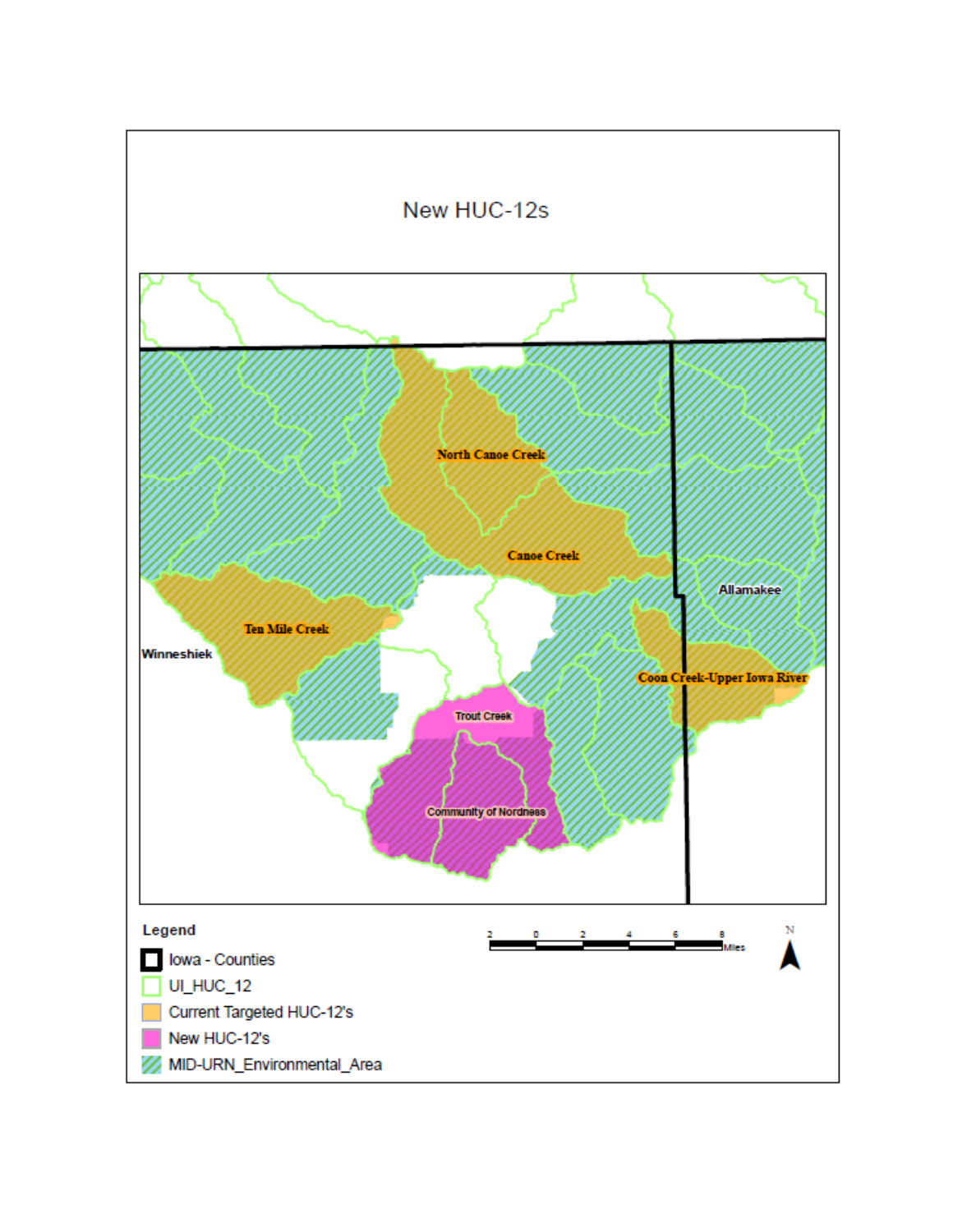